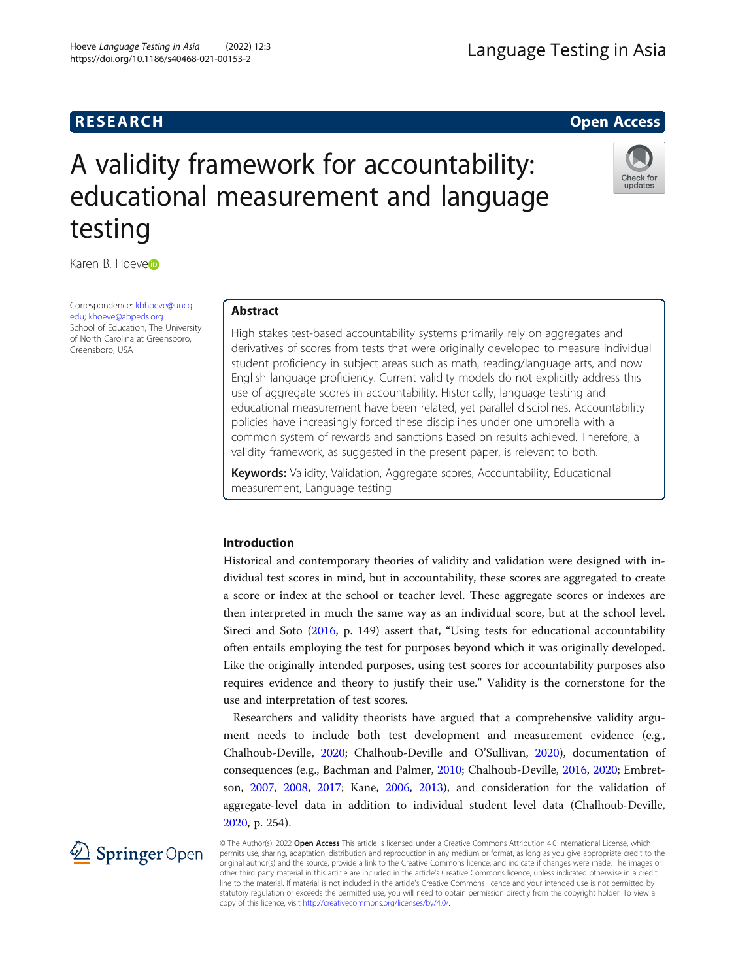# **RESEARCH CHEAR CHEAR CHEAR CHEAR CHEAR CHEAR CHEAR CHEAR CHEAR CHEAR CHEAR CHEAR CHEAR CHEAR CHEAR CHEAR CHEAR**

Check for update

# A validity framework for accountability: educational measurement and language testing

Kar[e](http://orcid.org/0000-0002-2637-8277)n B. Hoever

Correspondence: [kbhoeve@uncg.](mailto:kbhoeve@uncg.edu) [edu](mailto:kbhoeve@uncg.edu); [khoeve@abpeds.org](mailto:khoeve@abpeds.org) School of Education, The University of North Carolina at Greensboro, Greensboro, USA

# Abstract

High stakes test-based accountability systems primarily rely on aggregates and derivatives of scores from tests that were originally developed to measure individual student proficiency in subject areas such as math, reading/language arts, and now English language proficiency. Current validity models do not explicitly address this use of aggregate scores in accountability. Historically, language testing and educational measurement have been related, yet parallel disciplines. Accountability policies have increasingly forced these disciplines under one umbrella with a common system of rewards and sanctions based on results achieved. Therefore, a validity framework, as suggested in the present paper, is relevant to both.

Keywords: Validity, Validation, Aggregate scores, Accountability, Educational measurement, Language testing

# Introduction

Historical and contemporary theories of validity and validation were designed with individual test scores in mind, but in accountability, these scores are aggregated to create a score or index at the school or teacher level. These aggregate scores or indexes are then interpreted in much the same way as an individual score, but at the school level. Sireci and Soto [\(2016,](#page-13-0) p. 149) assert that, "Using tests for educational accountability often entails employing the test for purposes beyond which it was originally developed. Like the originally intended purposes, using test scores for accountability purposes also requires evidence and theory to justify their use." Validity is the cornerstone for the use and interpretation of test scores.

Researchers and validity theorists have argued that a comprehensive validity argument needs to include both test development and measurement evidence (e.g., Chalhoub-Deville, [2020](#page-12-0); Chalhoub-Deville and O'Sullivan, [2020\)](#page-12-0), documentation of consequences (e.g., Bachman and Palmer, [2010;](#page-12-0) Chalhoub-Deville, [2016](#page-12-0), [2020;](#page-12-0) Embretson, [2007](#page-13-0), [2008](#page-13-0), [2017](#page-13-0); Kane, [2006,](#page-13-0) [2013\)](#page-13-0), and consideration for the validation of aggregate-level data in addition to individual student level data (Chalhoub-Deville, [2020](#page-12-0), p. 254).

© The Author(s). 2022 Open Access This article is licensed under a Creative Commons Attribution 4.0 International License, which permits use, sharing, adaptation, distribution and reproduction in any medium or format, as long as you give appropriate credit to the original author(s) and the source, provide a link to the Creative Commons licence, and indicate if changes were made. The images or other third party material in this article are included in the article's Creative Commons licence, unless indicated otherwise in a credit line to the material. If material is not included in the article's Creative Commons licence and your intended use is not permitted by statutory regulation or exceeds the permitted use, you will need to obtain permission directly from the copyright holder. To view a copy of this licence, visit <http://creativecommons.org/licenses/by/4.0/>.

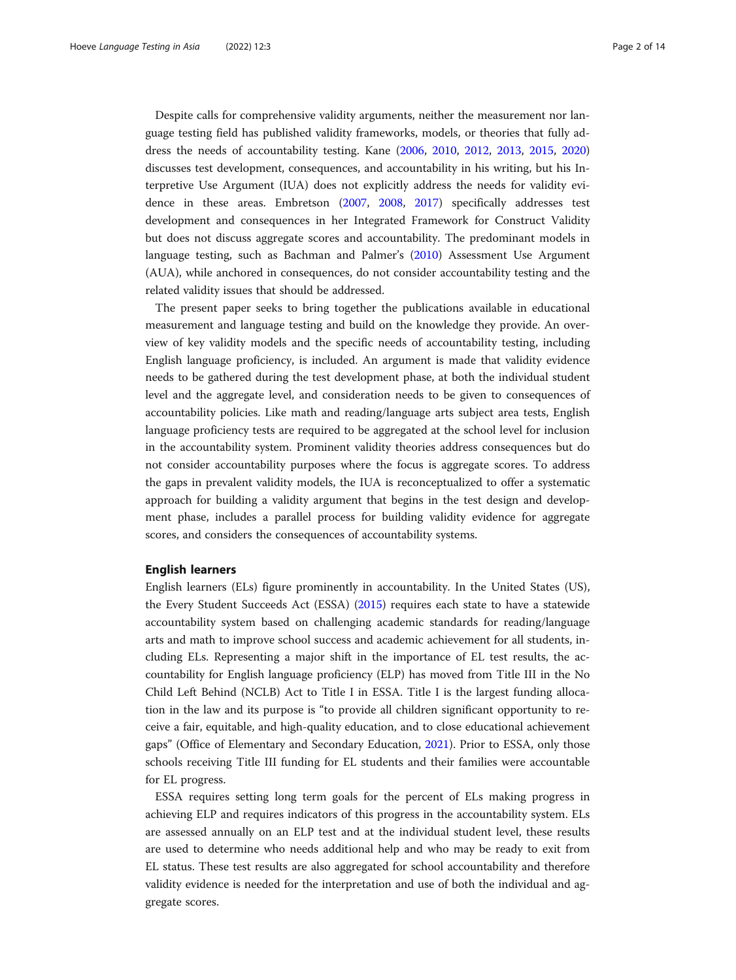Despite calls for comprehensive validity arguments, neither the measurement nor language testing field has published validity frameworks, models, or theories that fully address the needs of accountability testing. Kane ([2006](#page-13-0), [2010,](#page-13-0) [2012,](#page-13-0) [2013](#page-13-0), [2015](#page-13-0), [2020](#page-13-0)) discusses test development, consequences, and accountability in his writing, but his Interpretive Use Argument (IUA) does not explicitly address the needs for validity evidence in these areas. Embretson [\(2007](#page-13-0), [2008](#page-13-0), [2017](#page-13-0)) specifically addresses test development and consequences in her Integrated Framework for Construct Validity but does not discuss aggregate scores and accountability. The predominant models in language testing, such as Bachman and Palmer's [\(2010\)](#page-12-0) Assessment Use Argument (AUA), while anchored in consequences, do not consider accountability testing and the related validity issues that should be addressed.

The present paper seeks to bring together the publications available in educational measurement and language testing and build on the knowledge they provide. An overview of key validity models and the specific needs of accountability testing, including English language proficiency, is included. An argument is made that validity evidence needs to be gathered during the test development phase, at both the individual student level and the aggregate level, and consideration needs to be given to consequences of accountability policies. Like math and reading/language arts subject area tests, English language proficiency tests are required to be aggregated at the school level for inclusion in the accountability system. Prominent validity theories address consequences but do not consider accountability purposes where the focus is aggregate scores. To address the gaps in prevalent validity models, the IUA is reconceptualized to offer a systematic approach for building a validity argument that begins in the test design and development phase, includes a parallel process for building validity evidence for aggregate scores, and considers the consequences of accountability systems.

#### English learners

English learners (ELs) figure prominently in accountability. In the United States (US), the Every Student Succeeds Act (ESSA) ([2015](#page-13-0)) requires each state to have a statewide accountability system based on challenging academic standards for reading/language arts and math to improve school success and academic achievement for all students, including ELs. Representing a major shift in the importance of EL test results, the accountability for English language proficiency (ELP) has moved from Title III in the No Child Left Behind (NCLB) Act to Title I in ESSA. Title I is the largest funding allocation in the law and its purpose is "to provide all children significant opportunity to receive a fair, equitable, and high-quality education, and to close educational achievement gaps" (Office of Elementary and Secondary Education, [2021\)](#page-13-0). Prior to ESSA, only those schools receiving Title III funding for EL students and their families were accountable for EL progress.

ESSA requires setting long term goals for the percent of ELs making progress in achieving ELP and requires indicators of this progress in the accountability system. ELs are assessed annually on an ELP test and at the individual student level, these results are used to determine who needs additional help and who may be ready to exit from EL status. These test results are also aggregated for school accountability and therefore validity evidence is needed for the interpretation and use of both the individual and aggregate scores.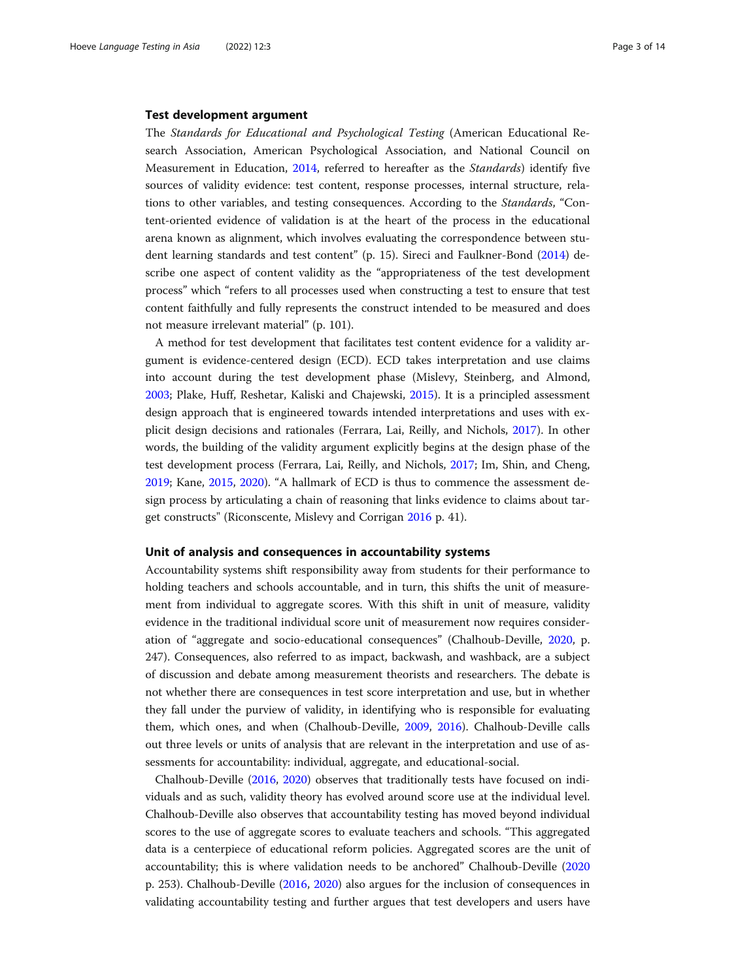#### Test development argument

The Standards for Educational and Psychological Testing (American Educational Research Association, American Psychological Association, and National Council on Measurement in Education, [2014,](#page-12-0) referred to hereafter as the Standards) identify five sources of validity evidence: test content, response processes, internal structure, relations to other variables, and testing consequences. According to the Standards, "Content-oriented evidence of validation is at the heart of the process in the educational arena known as alignment, which involves evaluating the correspondence between student learning standards and test content" (p. 15). Sireci and Faulkner-Bond [\(2014\)](#page-13-0) describe one aspect of content validity as the "appropriateness of the test development process" which "refers to all processes used when constructing a test to ensure that test content faithfully and fully represents the construct intended to be measured and does not measure irrelevant material" (p. 101).

A method for test development that facilitates test content evidence for a validity argument is evidence-centered design (ECD). ECD takes interpretation and use claims into account during the test development phase (Mislevy, Steinberg, and Almond, [2003](#page-13-0); Plake, Huff, Reshetar, Kaliski and Chajewski, [2015](#page-13-0)). It is a principled assessment design approach that is engineered towards intended interpretations and uses with explicit design decisions and rationales (Ferrara, Lai, Reilly, and Nichols, [2017\)](#page-13-0). In other words, the building of the validity argument explicitly begins at the design phase of the test development process (Ferrara, Lai, Reilly, and Nichols, [2017](#page-13-0); Im, Shin, and Cheng, [2019](#page-13-0); Kane, [2015,](#page-13-0) [2020\)](#page-13-0). "A hallmark of ECD is thus to commence the assessment design process by articulating a chain of reasoning that links evidence to claims about target constructs" (Riconscente, Mislevy and Corrigan [2016](#page-13-0) p. 41).

#### Unit of analysis and consequences in accountability systems

Accountability systems shift responsibility away from students for their performance to holding teachers and schools accountable, and in turn, this shifts the unit of measurement from individual to aggregate scores. With this shift in unit of measure, validity evidence in the traditional individual score unit of measurement now requires consideration of "aggregate and socio-educational consequences" (Chalhoub-Deville, [2020](#page-12-0), p. 247). Consequences, also referred to as impact, backwash, and washback, are a subject of discussion and debate among measurement theorists and researchers. The debate is not whether there are consequences in test score interpretation and use, but in whether they fall under the purview of validity, in identifying who is responsible for evaluating them, which ones, and when (Chalhoub-Deville, [2009](#page-12-0), [2016\)](#page-12-0). Chalhoub-Deville calls out three levels or units of analysis that are relevant in the interpretation and use of assessments for accountability: individual, aggregate, and educational-social.

Chalhoub-Deville ([2016](#page-12-0), [2020\)](#page-12-0) observes that traditionally tests have focused on individuals and as such, validity theory has evolved around score use at the individual level. Chalhoub-Deville also observes that accountability testing has moved beyond individual scores to the use of aggregate scores to evaluate teachers and schools. "This aggregated data is a centerpiece of educational reform policies. Aggregated scores are the unit of accountability; this is where validation needs to be anchored" Chalhoub-Deville ([2020](#page-12-0) p. 253). Chalhoub-Deville [\(2016,](#page-12-0) [2020\)](#page-12-0) also argues for the inclusion of consequences in validating accountability testing and further argues that test developers and users have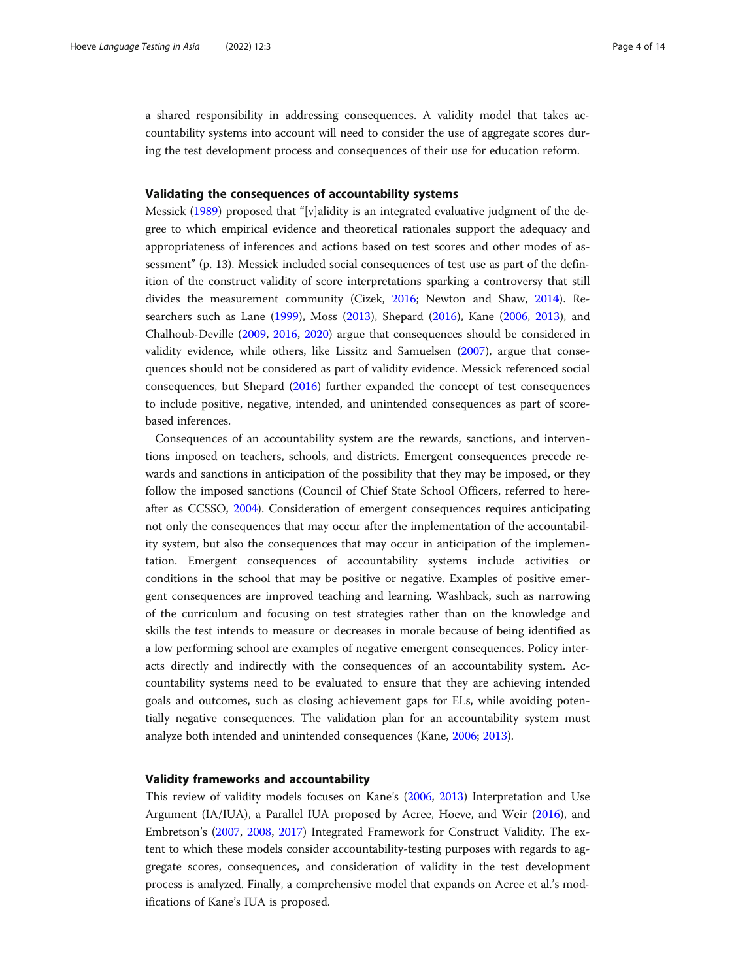a shared responsibility in addressing consequences. A validity model that takes accountability systems into account will need to consider the use of aggregate scores during the test development process and consequences of their use for education reform.

#### Validating the consequences of accountability systems

Messick ([1989](#page-13-0)) proposed that "[v]alidity is an integrated evaluative judgment of the degree to which empirical evidence and theoretical rationales support the adequacy and appropriateness of inferences and actions based on test scores and other modes of assessment" (p. 13). Messick included social consequences of test use as part of the definition of the construct validity of score interpretations sparking a controversy that still divides the measurement community (Cizek, [2016;](#page-13-0) Newton and Shaw, [2014\)](#page-13-0). Researchers such as Lane [\(1999\)](#page-13-0), Moss [\(2013](#page-13-0)), Shepard [\(2016\)](#page-13-0), Kane [\(2006](#page-13-0), [2013](#page-13-0)), and Chalhoub-Deville ([2009](#page-12-0), [2016,](#page-12-0) [2020](#page-12-0)) argue that consequences should be considered in validity evidence, while others, like Lissitz and Samuelsen [\(2007\)](#page-13-0), argue that consequences should not be considered as part of validity evidence. Messick referenced social consequences, but Shepard [\(2016\)](#page-13-0) further expanded the concept of test consequences to include positive, negative, intended, and unintended consequences as part of scorebased inferences.

Consequences of an accountability system are the rewards, sanctions, and interventions imposed on teachers, schools, and districts. Emergent consequences precede rewards and sanctions in anticipation of the possibility that they may be imposed, or they follow the imposed sanctions (Council of Chief State School Officers, referred to hereafter as CCSSO, [2004\)](#page-13-0). Consideration of emergent consequences requires anticipating not only the consequences that may occur after the implementation of the accountability system, but also the consequences that may occur in anticipation of the implementation. Emergent consequences of accountability systems include activities or conditions in the school that may be positive or negative. Examples of positive emergent consequences are improved teaching and learning. Washback, such as narrowing of the curriculum and focusing on test strategies rather than on the knowledge and skills the test intends to measure or decreases in morale because of being identified as a low performing school are examples of negative emergent consequences. Policy interacts directly and indirectly with the consequences of an accountability system. Accountability systems need to be evaluated to ensure that they are achieving intended goals and outcomes, such as closing achievement gaps for ELs, while avoiding potentially negative consequences. The validation plan for an accountability system must analyze both intended and unintended consequences (Kane, [2006;](#page-13-0) [2013\)](#page-13-0).

#### Validity frameworks and accountability

This review of validity models focuses on Kane's ([2006,](#page-13-0) [2013](#page-13-0)) Interpretation and Use Argument (IA/IUA), a Parallel IUA proposed by Acree, Hoeve, and Weir ([2016](#page-12-0)), and Embretson's ([2007](#page-13-0), [2008,](#page-13-0) [2017](#page-13-0)) Integrated Framework for Construct Validity. The extent to which these models consider accountability-testing purposes with regards to aggregate scores, consequences, and consideration of validity in the test development process is analyzed. Finally, a comprehensive model that expands on Acree et al.'s modifications of Kane's IUA is proposed.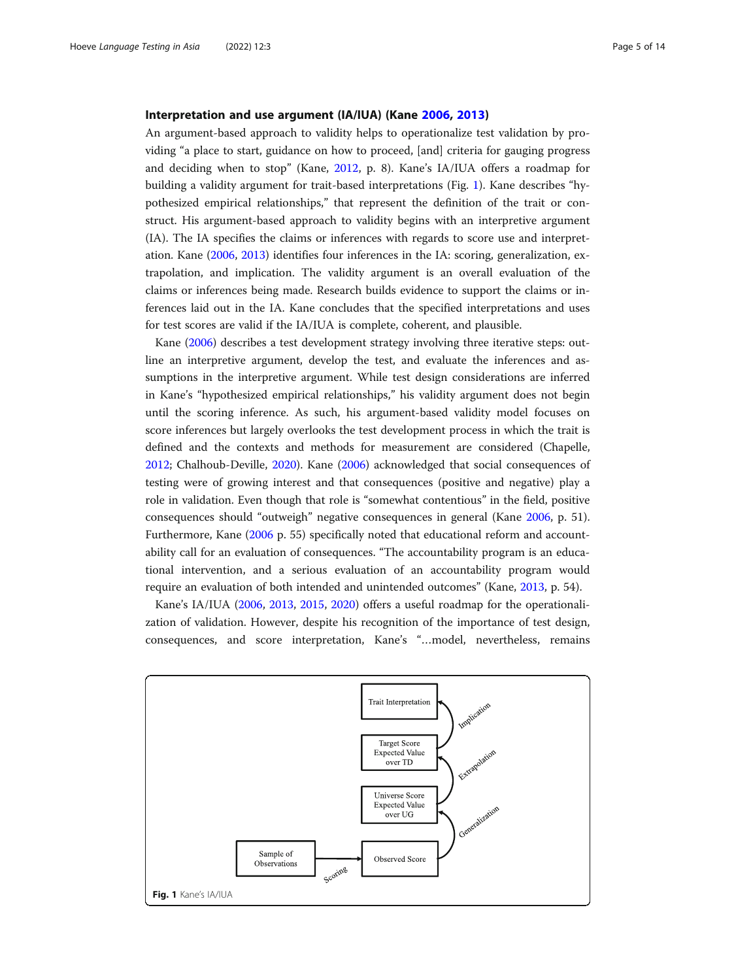#### Interpretation and use argument (IA/IUA) (Kane [2006](#page-13-0), [2013\)](#page-13-0)

An argument-based approach to validity helps to operationalize test validation by providing "a place to start, guidance on how to proceed, [and] criteria for gauging progress and deciding when to stop" (Kane, [2012](#page-13-0), p. 8). Kane's IA/IUA offers a roadmap for building a validity argument for trait-based interpretations (Fig. 1). Kane describes "hypothesized empirical relationships," that represent the definition of the trait or construct. His argument-based approach to validity begins with an interpretive argument (IA). The IA specifies the claims or inferences with regards to score use and interpretation. Kane [\(2006](#page-13-0), [2013\)](#page-13-0) identifies four inferences in the IA: scoring, generalization, extrapolation, and implication. The validity argument is an overall evaluation of the claims or inferences being made. Research builds evidence to support the claims or inferences laid out in the IA. Kane concludes that the specified interpretations and uses for test scores are valid if the IA/IUA is complete, coherent, and plausible.

Kane ([2006](#page-13-0)) describes a test development strategy involving three iterative steps: outline an interpretive argument, develop the test, and evaluate the inferences and assumptions in the interpretive argument. While test design considerations are inferred in Kane's "hypothesized empirical relationships," his validity argument does not begin until the scoring inference. As such, his argument-based validity model focuses on score inferences but largely overlooks the test development process in which the trait is defined and the contexts and methods for measurement are considered (Chapelle, [2012](#page-12-0); Chalhoub-Deville, [2020\)](#page-12-0). Kane [\(2006\)](#page-13-0) acknowledged that social consequences of testing were of growing interest and that consequences (positive and negative) play a role in validation. Even though that role is "somewhat contentious" in the field, positive consequences should "outweigh" negative consequences in general (Kane [2006,](#page-13-0) p. 51). Furthermore, Kane ([2006](#page-13-0) p. 55) specifically noted that educational reform and accountability call for an evaluation of consequences. "The accountability program is an educational intervention, and a serious evaluation of an accountability program would require an evaluation of both intended and unintended outcomes" (Kane, [2013,](#page-13-0) p. 54).

Kane's IA/IUA ([2006,](#page-13-0) [2013,](#page-13-0) [2015,](#page-13-0) [2020\)](#page-13-0) offers a useful roadmap for the operationalization of validation. However, despite his recognition of the importance of test design, consequences, and score interpretation, Kane's "…model, nevertheless, remains

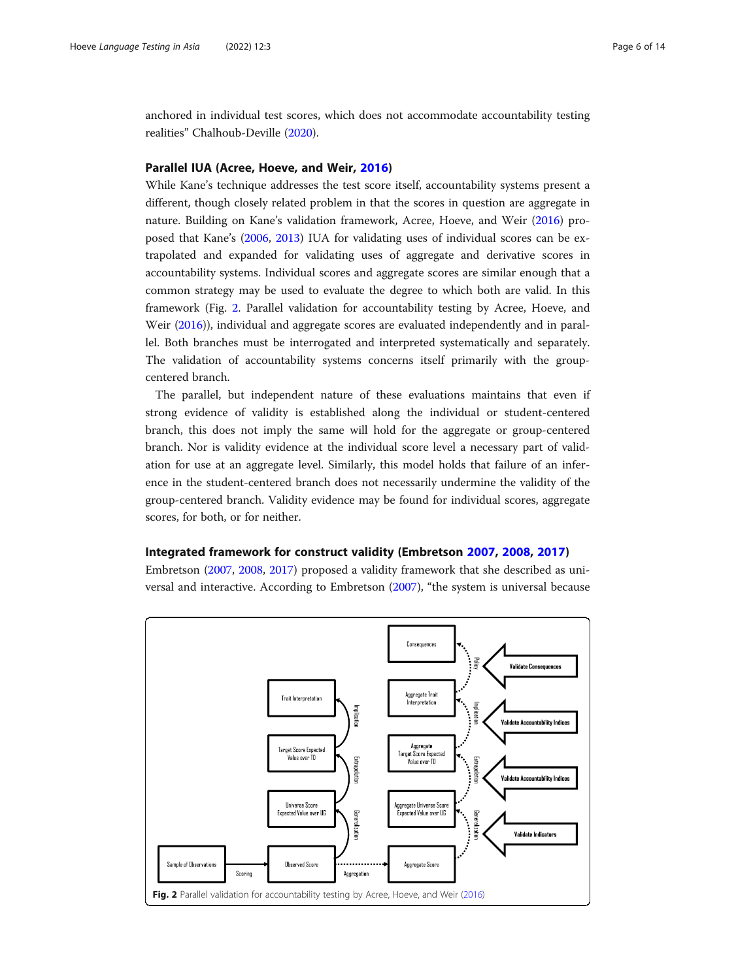<span id="page-5-0"></span>anchored in individual test scores, which does not accommodate accountability testing realities" Chalhoub-Deville [\(2020\)](#page-12-0).

# Parallel IUA (Acree, Hoeve, and Weir, [2016](#page-12-0))

While Kane's technique addresses the test score itself, accountability systems present a different, though closely related problem in that the scores in question are aggregate in nature. Building on Kane's validation framework, Acree, Hoeve, and Weir ([2016](#page-12-0)) proposed that Kane's ([2006](#page-13-0), [2013\)](#page-13-0) IUA for validating uses of individual scores can be extrapolated and expanded for validating uses of aggregate and derivative scores in accountability systems. Individual scores and aggregate scores are similar enough that a common strategy may be used to evaluate the degree to which both are valid. In this framework (Fig. 2. Parallel validation for accountability testing by Acree, Hoeve, and Weir [\(2016](#page-12-0))), individual and aggregate scores are evaluated independently and in parallel. Both branches must be interrogated and interpreted systematically and separately. The validation of accountability systems concerns itself primarily with the groupcentered branch.

The parallel, but independent nature of these evaluations maintains that even if strong evidence of validity is established along the individual or student-centered branch, this does not imply the same will hold for the aggregate or group-centered branch. Nor is validity evidence at the individual score level a necessary part of validation for use at an aggregate level. Similarly, this model holds that failure of an inference in the student-centered branch does not necessarily undermine the validity of the group-centered branch. Validity evidence may be found for individual scores, aggregate scores, for both, or for neither.

#### Integrated framework for construct validity (Embretson [2007,](#page-13-0) [2008](#page-13-0), [2017\)](#page-13-0)

Embretson [\(2007,](#page-13-0) [2008,](#page-13-0) [2017\)](#page-13-0) proposed a validity framework that she described as universal and interactive. According to Embretson ([2007\)](#page-13-0), "the system is universal because

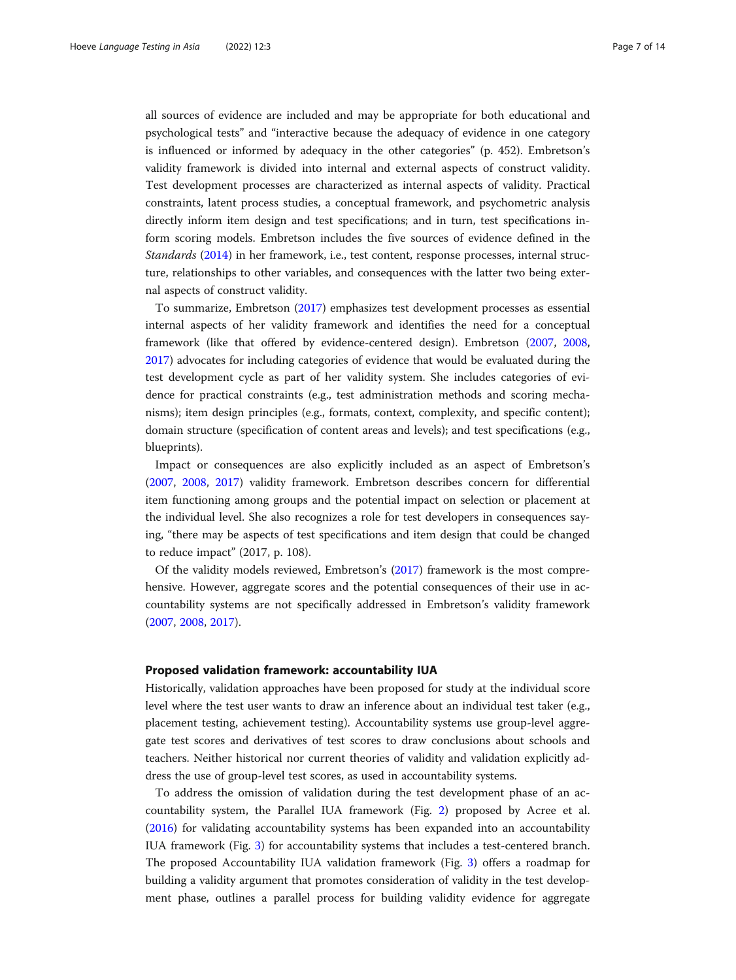all sources of evidence are included and may be appropriate for both educational and psychological tests" and "interactive because the adequacy of evidence in one category is influenced or informed by adequacy in the other categories" (p. 452). Embretson's validity framework is divided into internal and external aspects of construct validity. Test development processes are characterized as internal aspects of validity. Practical constraints, latent process studies, a conceptual framework, and psychometric analysis directly inform item design and test specifications; and in turn, test specifications inform scoring models. Embretson includes the five sources of evidence defined in the Standards [\(2014\)](#page-12-0) in her framework, i.e., test content, response processes, internal structure, relationships to other variables, and consequences with the latter two being external aspects of construct validity.

To summarize, Embretson [\(2017\)](#page-13-0) emphasizes test development processes as essential internal aspects of her validity framework and identifies the need for a conceptual framework (like that offered by evidence-centered design). Embretson ([2007](#page-13-0), [2008](#page-13-0), [2017](#page-13-0)) advocates for including categories of evidence that would be evaluated during the test development cycle as part of her validity system. She includes categories of evidence for practical constraints (e.g., test administration methods and scoring mechanisms); item design principles (e.g., formats, context, complexity, and specific content); domain structure (specification of content areas and levels); and test specifications (e.g., blueprints).

Impact or consequences are also explicitly included as an aspect of Embretson's ([2007](#page-13-0), [2008](#page-13-0), [2017\)](#page-13-0) validity framework. Embretson describes concern for differential item functioning among groups and the potential impact on selection or placement at the individual level. She also recognizes a role for test developers in consequences saying, "there may be aspects of test specifications and item design that could be changed to reduce impact" (2017, p. 108).

Of the validity models reviewed, Embretson's ([2017](#page-13-0)) framework is the most comprehensive. However, aggregate scores and the potential consequences of their use in accountability systems are not specifically addressed in Embretson's validity framework ([2007](#page-13-0), [2008](#page-13-0), [2017\)](#page-13-0).

# Proposed validation framework: accountability IUA

Historically, validation approaches have been proposed for study at the individual score level where the test user wants to draw an inference about an individual test taker (e.g., placement testing, achievement testing). Accountability systems use group-level aggregate test scores and derivatives of test scores to draw conclusions about schools and teachers. Neither historical nor current theories of validity and validation explicitly address the use of group-level test scores, as used in accountability systems.

To address the omission of validation during the test development phase of an accountability system, the Parallel IUA framework (Fig. [2](#page-5-0)) proposed by Acree et al. ([2016](#page-12-0)) for validating accountability systems has been expanded into an accountability IUA framework (Fig. [3](#page-7-0)) for accountability systems that includes a test-centered branch. The proposed Accountability IUA validation framework (Fig. [3](#page-7-0)) offers a roadmap for building a validity argument that promotes consideration of validity in the test development phase, outlines a parallel process for building validity evidence for aggregate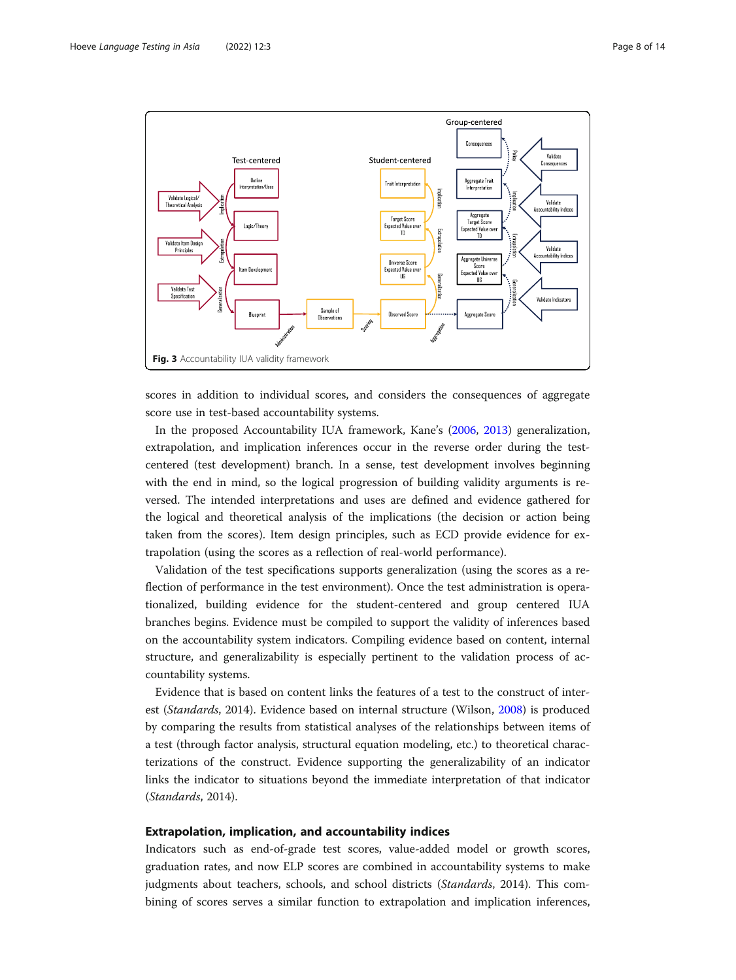<span id="page-7-0"></span>

scores in addition to individual scores, and considers the consequences of aggregate score use in test-based accountability systems.

In the proposed Accountability IUA framework, Kane's ([2006](#page-13-0), [2013](#page-13-0)) generalization, extrapolation, and implication inferences occur in the reverse order during the testcentered (test development) branch. In a sense, test development involves beginning with the end in mind, so the logical progression of building validity arguments is reversed. The intended interpretations and uses are defined and evidence gathered for the logical and theoretical analysis of the implications (the decision or action being taken from the scores). Item design principles, such as ECD provide evidence for extrapolation (using the scores as a reflection of real-world performance).

Validation of the test specifications supports generalization (using the scores as a reflection of performance in the test environment). Once the test administration is operationalized, building evidence for the student-centered and group centered IUA branches begins. Evidence must be compiled to support the validity of inferences based on the accountability system indicators. Compiling evidence based on content, internal structure, and generalizability is especially pertinent to the validation process of accountability systems.

Evidence that is based on content links the features of a test to the construct of interest (Standards, 2014). Evidence based on internal structure (Wilson, [2008\)](#page-13-0) is produced by comparing the results from statistical analyses of the relationships between items of a test (through factor analysis, structural equation modeling, etc.) to theoretical characterizations of the construct. Evidence supporting the generalizability of an indicator links the indicator to situations beyond the immediate interpretation of that indicator (Standards, 2014).

# Extrapolation, implication, and accountability indices

Indicators such as end-of-grade test scores, value-added model or growth scores, graduation rates, and now ELP scores are combined in accountability systems to make judgments about teachers, schools, and school districts (Standards, 2014). This combining of scores serves a similar function to extrapolation and implication inferences,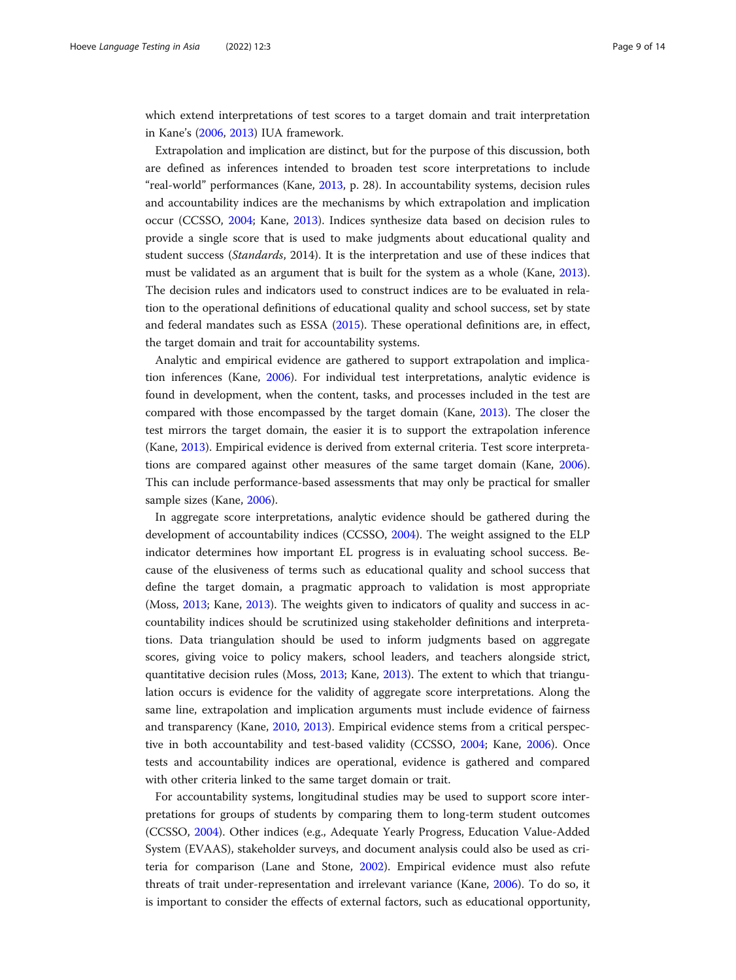which extend interpretations of test scores to a target domain and trait interpretation in Kane's [\(2006,](#page-13-0) [2013\)](#page-13-0) IUA framework.

Extrapolation and implication are distinct, but for the purpose of this discussion, both are defined as inferences intended to broaden test score interpretations to include "real-world" performances (Kane, [2013,](#page-13-0) p. 28). In accountability systems, decision rules and accountability indices are the mechanisms by which extrapolation and implication occur (CCSSO, [2004;](#page-13-0) Kane, [2013](#page-13-0)). Indices synthesize data based on decision rules to provide a single score that is used to make judgments about educational quality and student success (Standards, 2014). It is the interpretation and use of these indices that must be validated as an argument that is built for the system as a whole (Kane, [2013](#page-13-0)). The decision rules and indicators used to construct indices are to be evaluated in relation to the operational definitions of educational quality and school success, set by state and federal mandates such as ESSA [\(2015\)](#page-13-0). These operational definitions are, in effect, the target domain and trait for accountability systems.

Analytic and empirical evidence are gathered to support extrapolation and implication inferences (Kane, [2006](#page-13-0)). For individual test interpretations, analytic evidence is found in development, when the content, tasks, and processes included in the test are compared with those encompassed by the target domain (Kane, [2013](#page-13-0)). The closer the test mirrors the target domain, the easier it is to support the extrapolation inference (Kane, [2013](#page-13-0)). Empirical evidence is derived from external criteria. Test score interpretations are compared against other measures of the same target domain (Kane, [2006](#page-13-0)). This can include performance-based assessments that may only be practical for smaller sample sizes (Kane, [2006\)](#page-13-0).

In aggregate score interpretations, analytic evidence should be gathered during the development of accountability indices (CCSSO, [2004\)](#page-13-0). The weight assigned to the ELP indicator determines how important EL progress is in evaluating school success. Because of the elusiveness of terms such as educational quality and school success that define the target domain, a pragmatic approach to validation is most appropriate (Moss, [2013;](#page-13-0) Kane, [2013\)](#page-13-0). The weights given to indicators of quality and success in accountability indices should be scrutinized using stakeholder definitions and interpretations. Data triangulation should be used to inform judgments based on aggregate scores, giving voice to policy makers, school leaders, and teachers alongside strict, quantitative decision rules (Moss, [2013;](#page-13-0) Kane, [2013\)](#page-13-0). The extent to which that triangulation occurs is evidence for the validity of aggregate score interpretations. Along the same line, extrapolation and implication arguments must include evidence of fairness and transparency (Kane, [2010](#page-13-0), [2013](#page-13-0)). Empirical evidence stems from a critical perspective in both accountability and test-based validity (CCSSO, [2004;](#page-13-0) Kane, [2006](#page-13-0)). Once tests and accountability indices are operational, evidence is gathered and compared with other criteria linked to the same target domain or trait.

For accountability systems, longitudinal studies may be used to support score interpretations for groups of students by comparing them to long-term student outcomes (CCSSO, [2004\)](#page-13-0). Other indices (e.g., Adequate Yearly Progress, Education Value-Added System (EVAAS), stakeholder surveys, and document analysis could also be used as criteria for comparison (Lane and Stone, [2002\)](#page-13-0). Empirical evidence must also refute threats of trait under-representation and irrelevant variance (Kane, [2006](#page-13-0)). To do so, it is important to consider the effects of external factors, such as educational opportunity,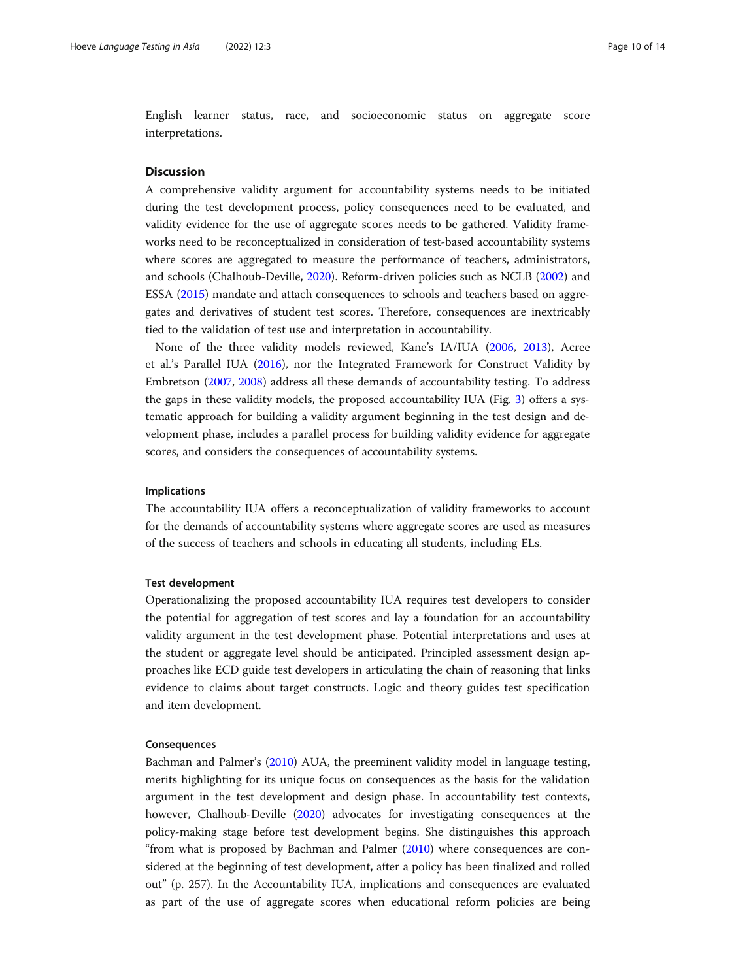English learner status, race, and socioeconomic status on aggregate score interpretations.

#### **Discussion**

A comprehensive validity argument for accountability systems needs to be initiated during the test development process, policy consequences need to be evaluated, and validity evidence for the use of aggregate scores needs to be gathered. Validity frameworks need to be reconceptualized in consideration of test-based accountability systems where scores are aggregated to measure the performance of teachers, administrators, and schools (Chalhoub-Deville, [2020\)](#page-12-0). Reform-driven policies such as NCLB ([2002](#page-13-0)) and ESSA [\(2015\)](#page-13-0) mandate and attach consequences to schools and teachers based on aggregates and derivatives of student test scores. Therefore, consequences are inextricably tied to the validation of test use and interpretation in accountability.

None of the three validity models reviewed, Kane's IA/IUA [\(2006,](#page-13-0) [2013](#page-13-0)), Acree et al.'s Parallel IUA [\(2016](#page-12-0)), nor the Integrated Framework for Construct Validity by Embretson [\(2007,](#page-13-0) [2008\)](#page-13-0) address all these demands of accountability testing. To address the gaps in these validity models, the proposed accountability IUA (Fig. [3\)](#page-7-0) offers a systematic approach for building a validity argument beginning in the test design and development phase, includes a parallel process for building validity evidence for aggregate scores, and considers the consequences of accountability systems.

# Implications

The accountability IUA offers a reconceptualization of validity frameworks to account for the demands of accountability systems where aggregate scores are used as measures of the success of teachers and schools in educating all students, including ELs.

# Test development

Operationalizing the proposed accountability IUA requires test developers to consider the potential for aggregation of test scores and lay a foundation for an accountability validity argument in the test development phase. Potential interpretations and uses at the student or aggregate level should be anticipated. Principled assessment design approaches like ECD guide test developers in articulating the chain of reasoning that links evidence to claims about target constructs. Logic and theory guides test specification and item development.

# Consequences

Bachman and Palmer's ([2010\)](#page-12-0) AUA, the preeminent validity model in language testing, merits highlighting for its unique focus on consequences as the basis for the validation argument in the test development and design phase. In accountability test contexts, however, Chalhoub-Deville [\(2020](#page-12-0)) advocates for investigating consequences at the policy-making stage before test development begins. She distinguishes this approach "from what is proposed by Bachman and Palmer ([2010](#page-12-0)) where consequences are considered at the beginning of test development, after a policy has been finalized and rolled out" (p. 257). In the Accountability IUA, implications and consequences are evaluated as part of the use of aggregate scores when educational reform policies are being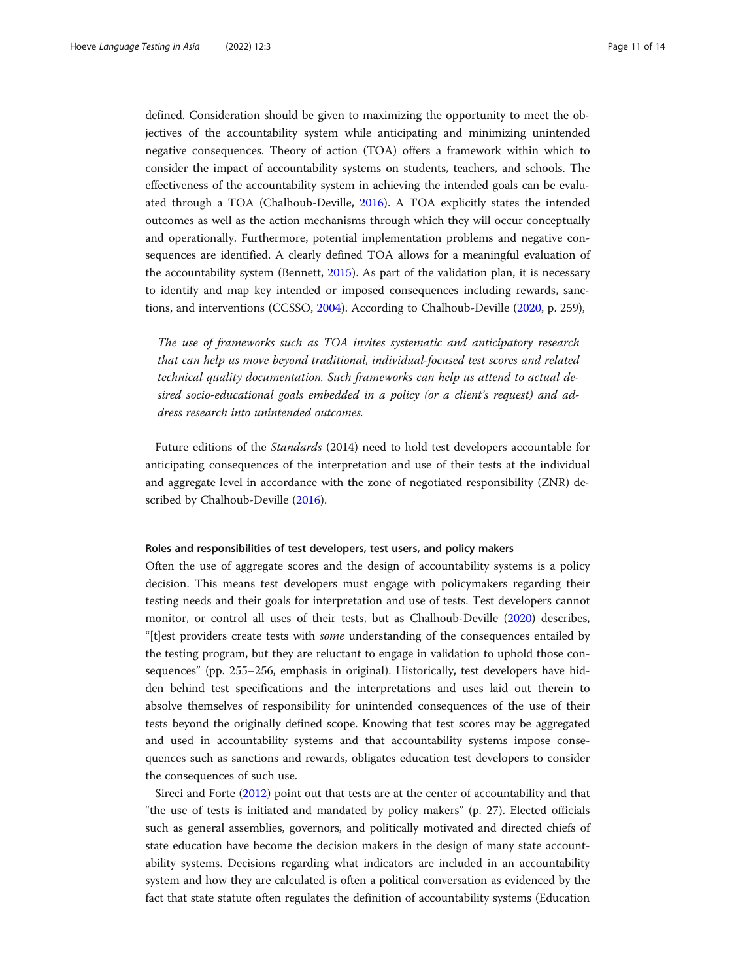defined. Consideration should be given to maximizing the opportunity to meet the objectives of the accountability system while anticipating and minimizing unintended negative consequences. Theory of action (TOA) offers a framework within which to consider the impact of accountability systems on students, teachers, and schools. The effectiveness of the accountability system in achieving the intended goals can be evaluated through a TOA (Chalhoub-Deville, [2016\)](#page-12-0). A TOA explicitly states the intended outcomes as well as the action mechanisms through which they will occur conceptually and operationally. Furthermore, potential implementation problems and negative consequences are identified. A clearly defined TOA allows for a meaningful evaluation of the accountability system (Bennett, [2015\)](#page-12-0). As part of the validation plan, it is necessary to identify and map key intended or imposed consequences including rewards, sanctions, and interventions (CCSSO, [2004](#page-13-0)). According to Chalhoub-Deville ([2020](#page-12-0), p. 259),

The use of frameworks such as TOA invites systematic and anticipatory research that can help us move beyond traditional, individual-focused test scores and related technical quality documentation. Such frameworks can help us attend to actual desired socio-educational goals embedded in a policy (or a client's request) and address research into unintended outcomes.

Future editions of the Standards (2014) need to hold test developers accountable for anticipating consequences of the interpretation and use of their tests at the individual and aggregate level in accordance with the zone of negotiated responsibility (ZNR) described by Chalhoub-Deville ([2016](#page-12-0)).

#### Roles and responsibilities of test developers, test users, and policy makers

Often the use of aggregate scores and the design of accountability systems is a policy decision. This means test developers must engage with policymakers regarding their testing needs and their goals for interpretation and use of tests. Test developers cannot monitor, or control all uses of their tests, but as Chalhoub-Deville ([2020\)](#page-12-0) describes, "[t]est providers create tests with *some* understanding of the consequences entailed by the testing program, but they are reluctant to engage in validation to uphold those consequences" (pp. 255–256, emphasis in original). Historically, test developers have hidden behind test specifications and the interpretations and uses laid out therein to absolve themselves of responsibility for unintended consequences of the use of their tests beyond the originally defined scope. Knowing that test scores may be aggregated and used in accountability systems and that accountability systems impose consequences such as sanctions and rewards, obligates education test developers to consider the consequences of such use.

Sireci and Forte ([2012](#page-13-0)) point out that tests are at the center of accountability and that "the use of tests is initiated and mandated by policy makers" (p. 27). Elected officials such as general assemblies, governors, and politically motivated and directed chiefs of state education have become the decision makers in the design of many state accountability systems. Decisions regarding what indicators are included in an accountability system and how they are calculated is often a political conversation as evidenced by the fact that state statute often regulates the definition of accountability systems (Education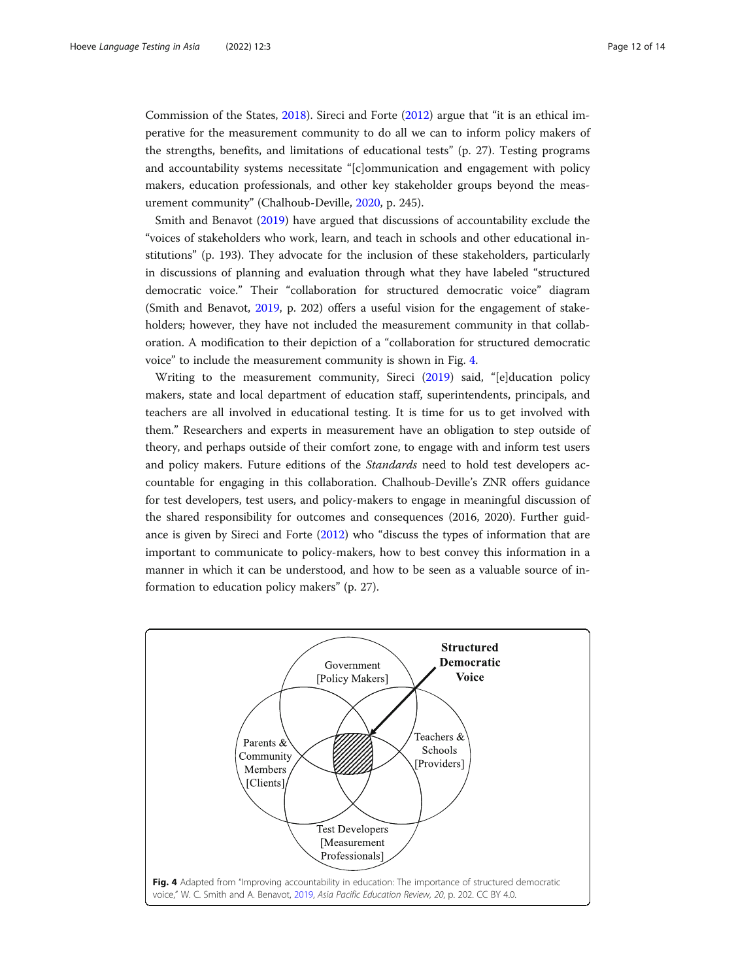Commission of the States, [2018\)](#page-13-0). Sireci and Forte ([2012\)](#page-13-0) argue that "it is an ethical imperative for the measurement community to do all we can to inform policy makers of the strengths, benefits, and limitations of educational tests" (p. 27). Testing programs and accountability systems necessitate "[c]ommunication and engagement with policy makers, education professionals, and other key stakeholder groups beyond the measurement community" (Chalhoub-Deville, [2020,](#page-12-0) p. 245).

Smith and Benavot ([2019\)](#page-13-0) have argued that discussions of accountability exclude the "voices of stakeholders who work, learn, and teach in schools and other educational institutions" (p. 193). They advocate for the inclusion of these stakeholders, particularly in discussions of planning and evaluation through what they have labeled "structured democratic voice." Their "collaboration for structured democratic voice" diagram (Smith and Benavot, [2019](#page-13-0), p. 202) offers a useful vision for the engagement of stakeholders; however, they have not included the measurement community in that collaboration. A modification to their depiction of a "collaboration for structured democratic voice" to include the measurement community is shown in Fig. 4.

Writing to the measurement community, Sireci ([2019](#page-13-0)) said, "[e]ducation policy makers, state and local department of education staff, superintendents, principals, and teachers are all involved in educational testing. It is time for us to get involved with them." Researchers and experts in measurement have an obligation to step outside of theory, and perhaps outside of their comfort zone, to engage with and inform test users and policy makers. Future editions of the Standards need to hold test developers accountable for engaging in this collaboration. Chalhoub-Deville's ZNR offers guidance for test developers, test users, and policy-makers to engage in meaningful discussion of the shared responsibility for outcomes and consequences (2016, 2020). Further guidance is given by Sireci and Forte [\(2012](#page-13-0)) who "discuss the types of information that are important to communicate to policy-makers, how to best convey this information in a manner in which it can be understood, and how to be seen as a valuable source of information to education policy makers" (p. 27).

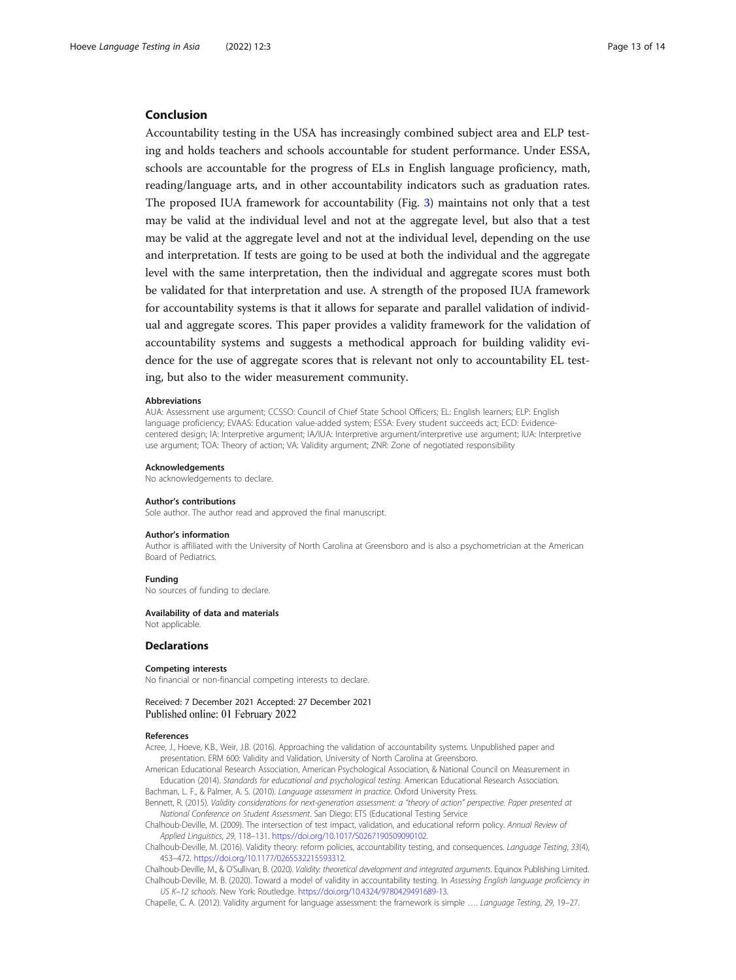#### <span id="page-12-0"></span>Conclusion

Accountability testing in the USA has increasingly combined subject area and ELP testing and holds teachers and schools accountable for student performance. Under ESSA, schools are accountable for the progress of ELs in English language proficiency, math, reading/language arts, and in other accountability indicators such as graduation rates. The proposed IUA framework for accountability (Fig. [3](#page-7-0)) maintains not only that a test may be valid at the individual level and not at the aggregate level, but also that a test may be valid at the aggregate level and not at the individual level, depending on the use and interpretation. If tests are going to be used at both the individual and the aggregate level with the same interpretation, then the individual and aggregate scores must both be validated for that interpretation and use. A strength of the proposed IUA framework for accountability systems is that it allows for separate and parallel validation of individual and aggregate scores. This paper provides a validity framework for the validation of accountability systems and suggests a methodical approach for building validity evidence for the use of aggregate scores that is relevant not only to accountability EL testing, but also to the wider measurement community.

#### Abbreviations

AUA: Assessment use argument; CCSSO: Council of Chief State School Officers; EL: English learners; ELP: English language proficiency; EVAAS: Education value-added system; ESSA: Every student succeeds act; ECD: Evidencecentered design; IA: Interpretive argument; IA/IUA: Interpretive argument/interpretive use argument; IUA: Interpretive use argument; TOA: Theory of action; VA: Validity argument; ZNR: Zone of negotiated responsibility

#### Acknowledgements

No acknowledgements to declare.

#### Author's contributions

Sole author. The author read and approved the final manuscript.

#### Author's information

Author is affiliated with the University of North Carolina at Greensboro and is also a psychometrician at the American Board of Pediatrics.

#### Funding

No sources of funding to declare.

#### Availability of data and materials Not applicable.

# **Declarations**

#### Competing interests

No financial or non-financial competing interests to declare.

#### Received: 7 December 2021 Accepted: 27 December 2021 Published online: 01 February 2022

#### References

Acree, J., Hoeve, K.B., Weir, J.B. (2016). Approaching the validation of accountability systems. Unpublished paper and presentation. ERM 600: Validity and Validation, University of North Carolina at Greensboro.

American Educational Research Association, American Psychological Association, & National Council on Measurement in Education (2014). Standards for educational and psychological testing. American Educational Research Association. Bachman, L. F., & Palmer, A. S. (2010). Language assessment in practice. Oxford University Press.

Bennett, R. (2015). Validity considerations for next-generation assessment: a "theory of action" perspective. Paper presented at National Conference on Student Assessment. San Diego: ETS (Educational Testing Service

Chalhoub-Deville, M. (2009). The intersection of test impact, validation, and educational reform policy. Annual Review of Applied Linguistics, 29, 118–131. <https://doi.org/10.1017/S0267190509090102>.

Chalhoub-Deville, M. (2016). Validity theory: reform policies, accountability testing, and consequences. Language Testing, 33(4), 453–472. [https://doi.org/10.1177/0265532215593312.](https://doi.org/10.1177/0265532215593312)

Chalhoub-Deville, M., & O'Sullivan, B. (2020). Validity: theoretical development and integrated arguments. Equinox Publishing Limited. Chalhoub-Deville, M. B. (2020). Toward a model of validity in accountability testing. In Assessing English language proficiency in US K–12 schools. New York: Routledge. [https://doi.org/10.4324/9780429491689-13.](https://doi.org/10.4324/9780429491689-13)

Chapelle, C. A. (2012). Validity argument for language assessment: the framework is simple …. Language Testing, 29, 19–27.